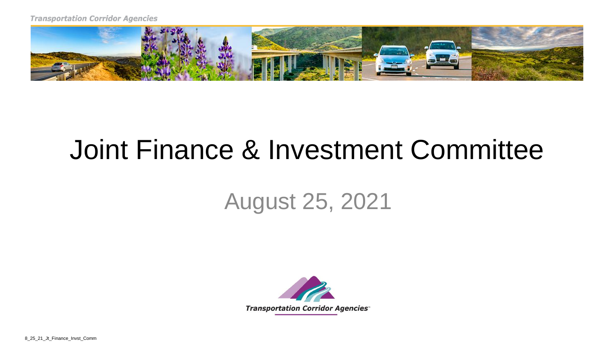

## Joint Finance & Investment Committee

## August 25, 2021



8\_25\_21\_Jt\_Finance\_Invst\_Comm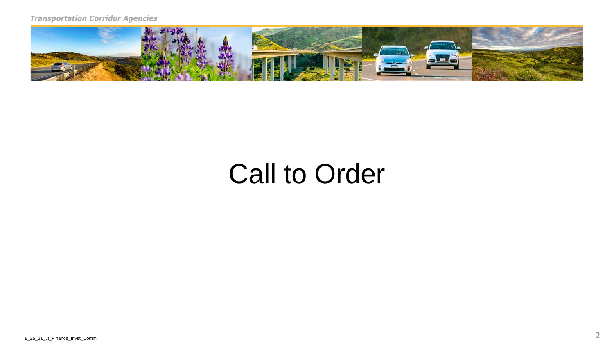

## Call to Order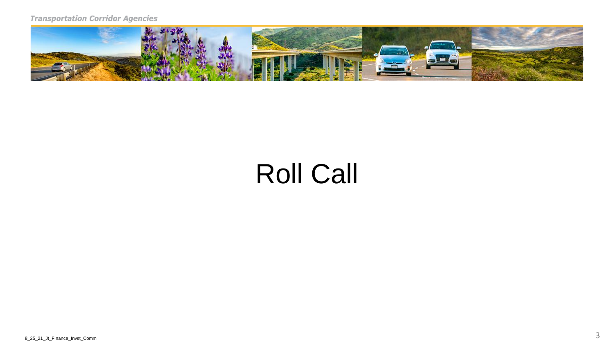

## Roll Call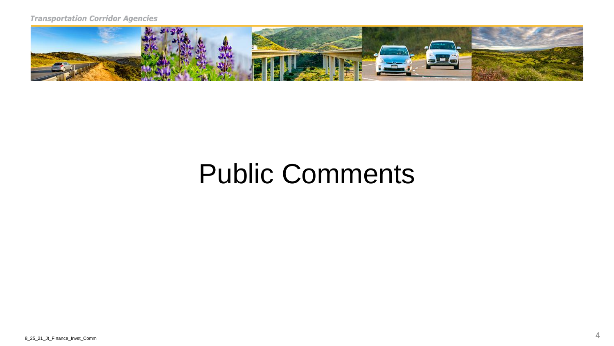

## Public Comments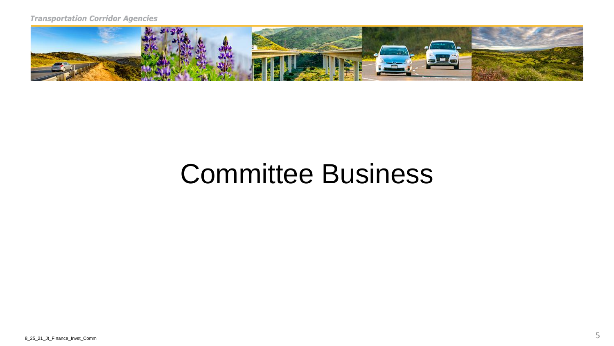

## Committee Business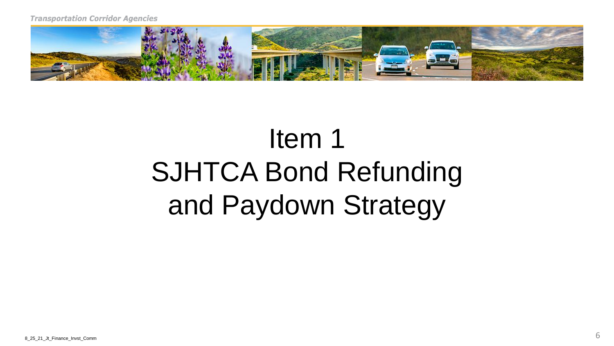

# Item 1 SJHTCA Bond Refunding and Paydown Strategy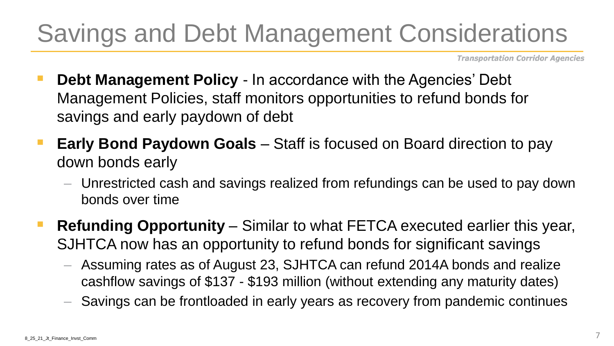## Savings and Debt Management Considerations

Transportation Corridor Agencies

- **Debt Management Policy In accordance with the Agencies' Debt** Management Policies, staff monitors opportunities to refund bonds for savings and early paydown of debt
- **Early Bond Paydown Goals** Staff is focused on Board direction to pay down bonds early
	- Unrestricted cash and savings realized from refundings can be used to pay down bonds over time
- **Refunding Opportunity** Similar to what FETCA executed earlier this year, SJHTCA now has an opportunity to refund bonds for significant savings
	- – Assuming rates as of August 23, SJHTCA can refund 2014A bonds and realize cashflow savings of \$137 - \$193 million (without extending any maturity dates)
	- Savings can be frontloaded in early years as recovery from pandemic continues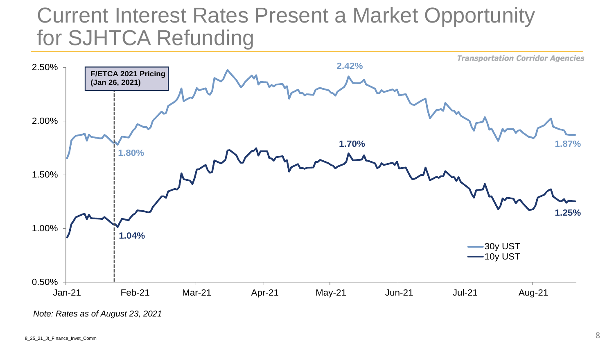#### for SJHTCA Refunding Current Interest Rates Present a Market Opportunity



*Note: Rates as of August 23, 2021*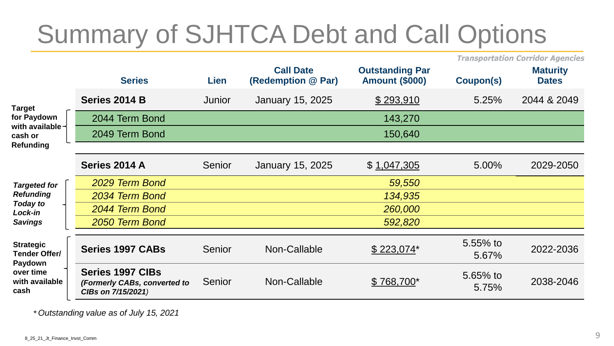## Summary of SJHTCA Debt and Call Options

Transportation Corridor Agencies

|                                                                                     | <b>Series</b>                                                                 | Lien          | <b>Call Date</b><br>(Redemption @ Par) | <b>Outstanding Par</b><br><b>Amount (\$000)</b> | Coupon(s)         | <b>Maturity</b><br><b>Dates</b> |
|-------------------------------------------------------------------------------------|-------------------------------------------------------------------------------|---------------|----------------------------------------|-------------------------------------------------|-------------------|---------------------------------|
| <b>Target</b><br>for Paydown<br>with available-<br>cash or                          | Series 2014 B                                                                 | <b>Junior</b> | January 15, 2025                       | \$293,910                                       | 5.25%             | 2044 & 2049                     |
|                                                                                     | 2044 Term Bond                                                                |               |                                        | 143,270                                         |                   |                                 |
|                                                                                     | 2049 Term Bond                                                                |               |                                        | 150,640                                         |                   |                                 |
| <b>Refunding</b>                                                                    |                                                                               |               |                                        |                                                 |                   |                                 |
|                                                                                     | Series 2014 A                                                                 | Senior        | <b>January 15, 2025</b>                | \$1,047,305                                     | 5.00%             | 2029-2050                       |
| <b>Targeted for</b><br><b>Refunding</b><br>Today to<br>Lock-in<br><b>Savings</b>    | 2029 Term Bond                                                                |               |                                        | 59,550                                          |                   |                                 |
|                                                                                     | 2034 Term Bond                                                                |               |                                        | 134,935                                         |                   |                                 |
|                                                                                     | 2044 Term Bond                                                                |               |                                        | 260,000                                         |                   |                                 |
|                                                                                     | 2050 Term Bond                                                                |               |                                        | 592,820                                         |                   |                                 |
| <b>Strategic</b><br>Tender Offer/<br>Paydown<br>over time<br>with available<br>cash | <b>Series 1997 CABs</b>                                                       | Senior        | Non-Callable                           | $$223,074*$                                     | 5.55% to<br>5.67% | 2022-2036                       |
|                                                                                     | <b>Series 1997 CIBs</b><br>(Formerly CABs, converted to<br>CIBs on 7/15/2021) | Senior        | Non-Callable                           | $$768,700*$                                     | 5.65% to<br>5.75% | 2038-2046                       |

 *\* Outstanding value as of July 15, 2021*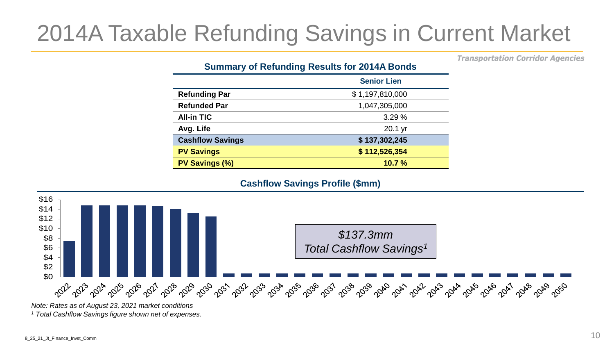## 2014A Taxable Refunding Savings in Current Market

Transportation Corridor Agencies

#### **Summary of Refunding Results for 2014A Bonds**

|                         | <b>Senior Lien</b> |
|-------------------------|--------------------|
| <b>Refunding Par</b>    | \$1,197,810,000    |
| <b>Refunded Par</b>     | 1,047,305,000      |
| <b>All-in TIC</b>       | 3.29%              |
| Avg. Life               | 20.1 yr            |
| <b>Cashflow Savings</b> | \$137,302,245      |
| <b>PV Savings</b>       | \$112,526,354      |
| PV Savings (%)          | 10.7%              |



 *Note: Rates as of August 23, 2021 market conditions 1 Total Cashflow Savings figure shown net of expenses.*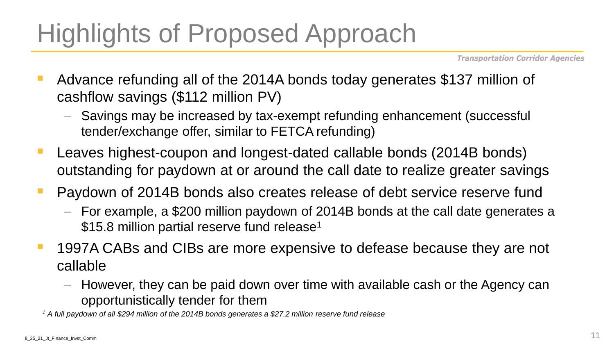## Highlights of Proposed Approach

Transportation Corridor Agencies

- Advance refunding all of the 2014A bonds today generates \$137 million of cashflow savings (\$112 million PV)
	- Savings may be increased by tax-exempt refunding enhancement (successful tender/exchange offer, similar to FETCA refunding)
- Leaves highest-coupon and longest-dated callable bonds (2014B bonds) outstanding for paydown at or around the call date to realize greater savings
- Paydown of 2014B bonds also creates release of debt service reserve fund
	- – For example, a \$200 million paydown of 2014B bonds at the call date generates a \$15.8 million partial reserve fund release<sup>1</sup>
- 1997A CABs and CIBs are more expensive to defease because they are not callable
	- – However, they can be paid down over time with available cash or the Agency can opportunistically tender for them

 *1 A full paydown of all \$294 million of the 2014B bonds generates a \$27.2 million reserve fund release*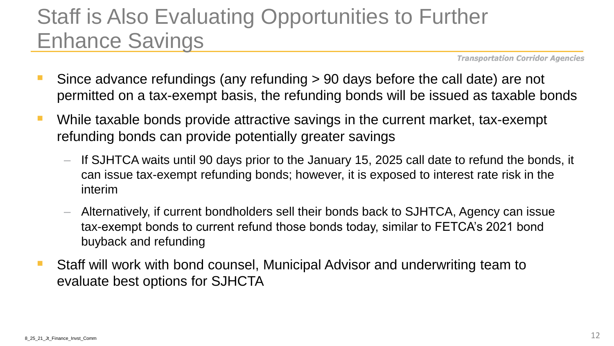### Staff is Also Evaluating Opportunities to Further Enhance Savings

Transportation Corridor Agencies

- Since advance refundings (any refunding > 90 days before the call date) are not permitted on a tax-exempt basis, the refunding bonds will be issued as taxable bonds
- refunding bonds can provide potentially greater savings ■ While taxable bonds provide attractive savings in the current market, tax-exempt
	- – If SJHTCA waits until 90 days prior to the January 15, 2025 call date to refund the bonds, it can issue tax-exempt refunding bonds; however, it is exposed to interest rate risk in the interim
	- tax-exempt bonds to current refund those bonds today, similar to FETCA's 2021 bond – Alternatively, if current bondholders sell their bonds back to SJHTCA, Agency can issue buyback and refunding
- Staff will work with bond counsel, Municipal Advisor and underwriting team to evaluate best options for SJHCTA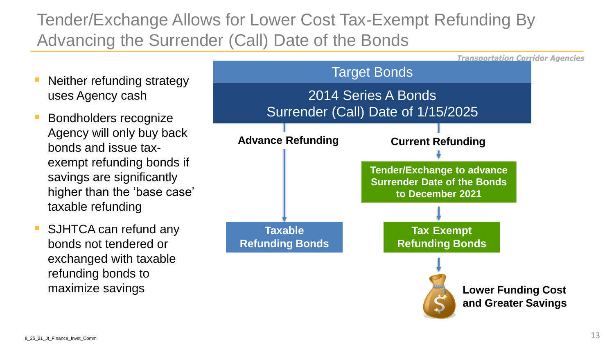#### Tender/Exchange Allows for Lower Cost Tax-Exempt Refunding By Advancing the Surrender (Call) Date of the Bonds

- uses Agency cash Neither refunding strategy
- Agency will only buy back **Bondholders recognize** bonds and issue taxexempt refunding bonds if savings are significantly higher than the 'base case' taxable refunding
- SJHTCA can refund any bonds not tendered or exchanged with taxable refunding bonds to

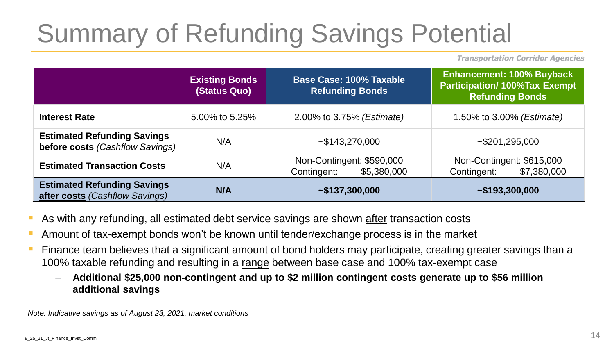# Summary of Refunding Savings Potential

Transportation Corridor Agencies

|                                                                       | <b>Existing Bonds</b><br>(Status Quo) | Base Case: 100% Taxable<br><b>Refunding Bonds</b>       | <b>Enhancement: 100% Buyback</b><br><b>Participation/100%Tax Exempt</b><br><b>Refunding Bonds</b> |  |
|-----------------------------------------------------------------------|---------------------------------------|---------------------------------------------------------|---------------------------------------------------------------------------------------------------|--|
| <b>Interest Rate</b>                                                  | 5.00% to 5.25%                        | 2.00% to 3.75% (Estimate)                               | 1.50% to 3.00% (Estimate)                                                                         |  |
| <b>Estimated Refunding Savings</b><br>before costs (Cashflow Savings) | N/A                                   | $-$ \$143,270,000                                       | ~1.295,000                                                                                        |  |
| <b>Estimated Transaction Costs</b>                                    | N/A                                   | Non-Contingent: \$590,000<br>Contingent:<br>\$5,380,000 | Non-Contingent: \$615,000<br>\$7,380,000<br>Contingent:                                           |  |
| <b>Estimated Refunding Savings</b><br>after costs (Cashflow Savings)  | <b>N/A</b>                            | ~137,300,000                                            | $-$ \$193,300,000                                                                                 |  |

- As with any refunding, all estimated debt service savings are shown after transaction costs
- **E** Amount of tax-exempt bonds won't be known until tender/exchange process is in the market
- **E** Finance team believes that a significant amount of bond holders may participate, creating greater savings than a 100% taxable refunding and resulting in a range between base case and 100% tax-exempt case
	- **Additional \$25,000 non-contingent and up to \$2 million contingent costs generate up to \$56 million additional savings**

 *Note: Indicative savings as of August 23, 2021, market conditions*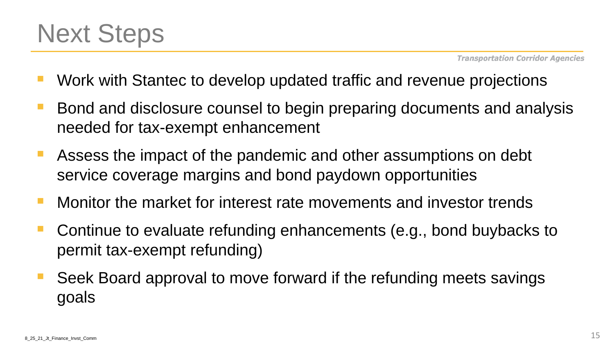

- Work with Stantec to develop updated traffic and revenue projections
- Bond and disclosure counsel to begin preparing documents and analysis needed for tax-exempt enhancement
- **EXTERGHERIST Assess the impact of the pandemic and other assumptions on debt** service coverage margins and bond paydown opportunities
- Monitor the market for interest rate movements and investor trends
- Continue to evaluate refunding enhancements (e.g., bond buybacks to permit tax-exempt refunding)
- Seek Board approval to move forward if the refunding meets savings goals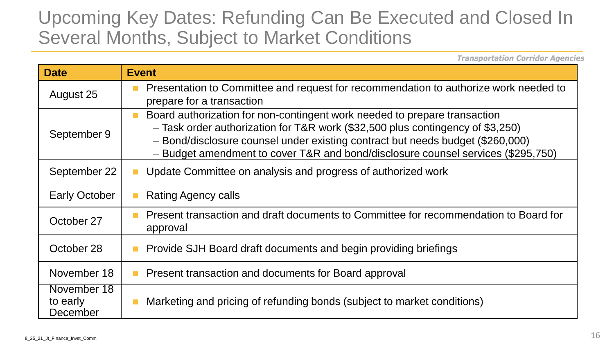#### Upcoming Key Dates: Refunding Can Be Executed and Closed In Several Months, Subject to Market Conditions

Transportation Corridor Agencies

| <b>Date</b>                         | <b>Event</b>                                                                                                                                                                                                                                                                                                                           |
|-------------------------------------|----------------------------------------------------------------------------------------------------------------------------------------------------------------------------------------------------------------------------------------------------------------------------------------------------------------------------------------|
| August 25                           | Presentation to Committee and request for recommendation to authorize work needed to<br>$\blacksquare$<br>prepare for a transaction                                                                                                                                                                                                    |
| September 9                         | Board authorization for non-contingent work needed to prepare transaction<br>П<br>- Task order authorization for T&R work (\$32,500 plus contingency of \$3,250)<br>- Bond/disclosure counsel under existing contract but needs budget (\$260,000)<br>- Budget amendment to cover T&R and bond/disclosure counsel services (\$295,750) |
| September 22                        | Update Committee on analysis and progress of authorized work                                                                                                                                                                                                                                                                           |
| <b>Early October</b>                | <b>Rating Agency calls</b>                                                                                                                                                                                                                                                                                                             |
| October 27                          | Present transaction and draft documents to Committee for recommendation to Board for<br><b>COL</b><br>approval                                                                                                                                                                                                                         |
| October 28                          | Provide SJH Board draft documents and begin providing briefings                                                                                                                                                                                                                                                                        |
| November 18                         | Present transaction and documents for Board approval                                                                                                                                                                                                                                                                                   |
| November 18<br>to early<br>December | Marketing and pricing of refunding bonds (subject to market conditions)                                                                                                                                                                                                                                                                |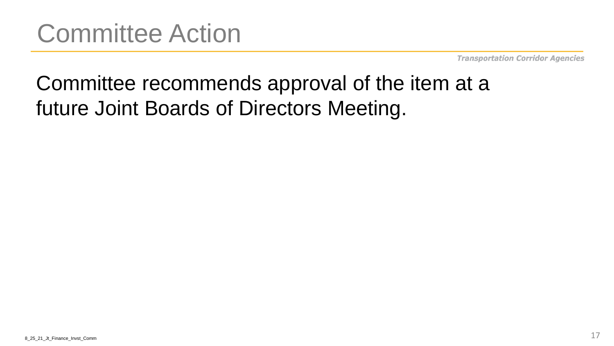#### Committee recommends approval of the item at a future Joint Boards of Directors Meeting.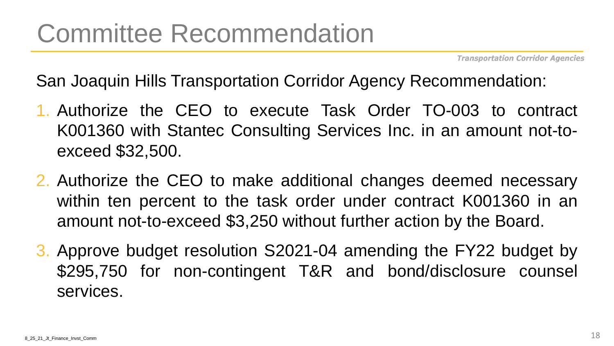San Joaquin Hills Transportation Corridor Agency Recommendation:

- 1. Authorize the CEO to execute Task Order TO-003 to contract K001360 with Stantec Consulting Services Inc. in an amount not-toexceed \$32,500.
- 2. Authorize the CEO to make additional changes deemed necessary within ten percent to the task order under contract K001360 in an amount not-to-exceed \$3,250 without further action by the Board.
- 3. Approve budget resolution S2021-04 amending the FY22 budget by \$295,750 for non-contingent T&R and bond/disclosure counsel services.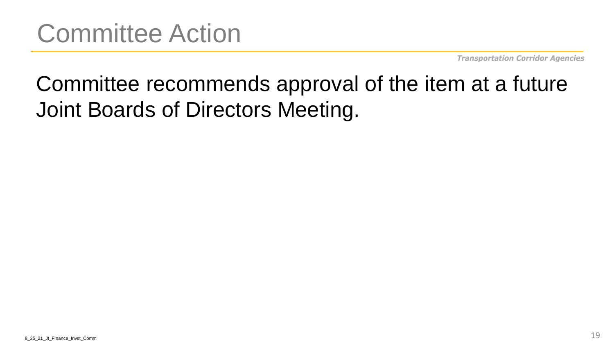## Committee recommends approval of the item at a future Joint Boards of Directors Meeting.